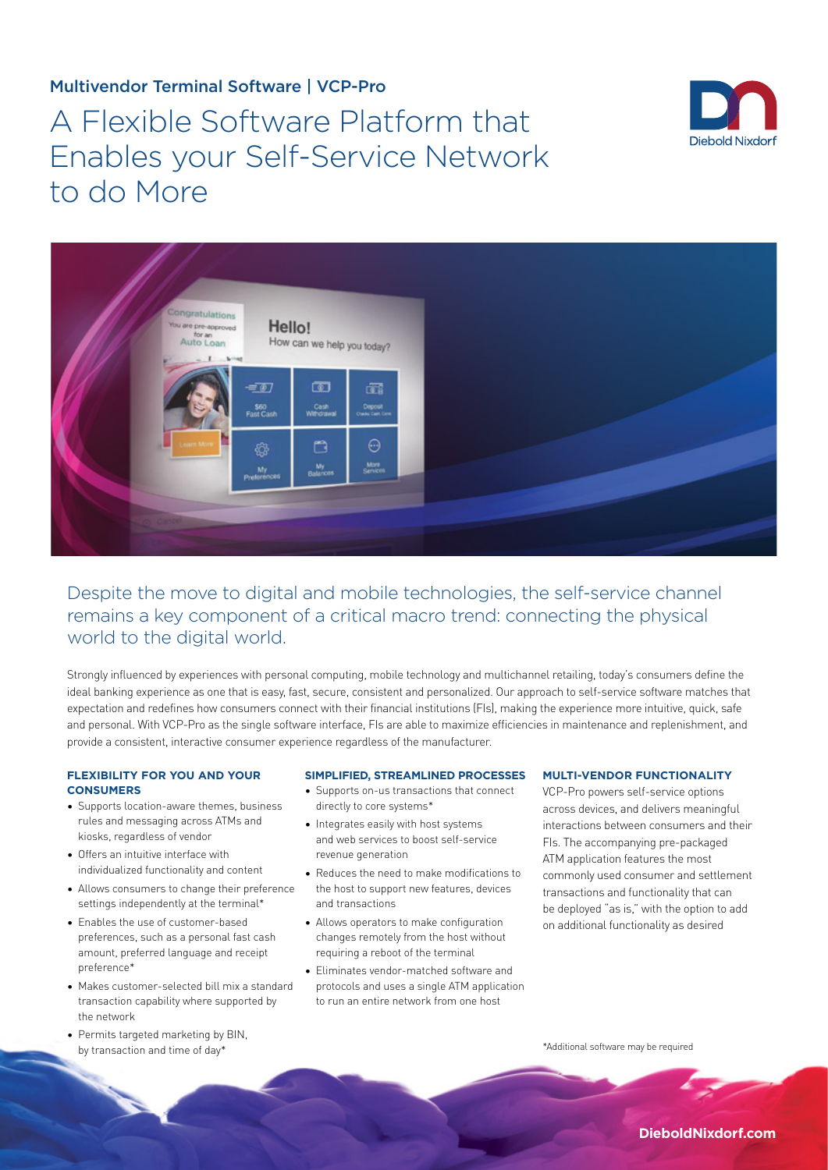# Multivendor Terminal Software | VCP-Pro

# A Flexible Software Platform that Enables your Self-Service Network to do More





Despite the move to digital and mobile technologies, the self-service channel remains a key component of a critical macro trend: connecting the physical world to the digital world.

Strongly influenced by experiences with personal computing, mobile technology and multichannel retailing, today's consumers define the ideal banking experience as one that is easy, fast, secure, consistent and personalized. Our approach to self-service software matches that expectation and redefines how consumers connect with their financial institutions (FIs), making the experience more intuitive, quick, safe and personal. With VCP-Pro as the single software interface, FIs are able to maximize efficiencies in maintenance and replenishment, and provide a consistent, interactive consumer experience regardless of the manufacturer.

#### **FLEXIBILITY FOR YOU AND YOUR CONSUMERS**

- Supports location-aware themes, business rules and messaging across ATMs and kiosks, regardless of vendor
- Offers an intuitive interface with individualized functionality and content
- Allows consumers to change their preference settings independently at the terminal\*
- Enables the use of customer-based preferences, such as a personal fast cash amount, preferred language and receipt preference\*
- Makes customer-selected bill mix a standard transaction capability where supported by the network
- Permits targeted marketing by BIN, by transaction and time of day\*

#### **SIMPLIFIED, STREAMLINED PROCESSES**

- Supports on-us transactions that connect directly to core systems\*
- Integrates easily with host systems and web services to boost self-service revenue generation
- Reduces the need to make modifications to the host to support new features, devices and transactions
- Allows operators to make configuration changes remotely from the host without requiring a reboot of the terminal
- Eliminates vendor-matched software and protocols and uses a single ATM application to run an entire network from one host

#### **MULTI-VENDOR FUNCTIONALITY**

VCP-Pro powers self-service options across devices, and delivers meaningful interactions between consumers and their FIs. The accompanying pre-packaged ATM application features the most commonly used consumer and settlement transactions and functionality that can be deployed "as is," with the option to add on additional functionality as desired

\*Additional software may be required

**DieboldNixdorf.com**